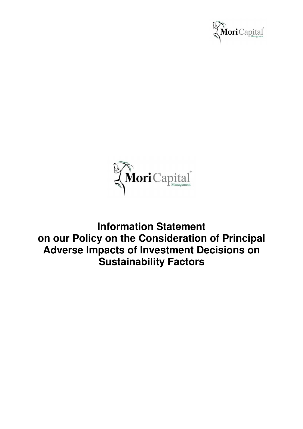



**Information Statement on our Policy on the Consideration of Principal Adverse Impacts of Investment Decisions on Sustainability Factors**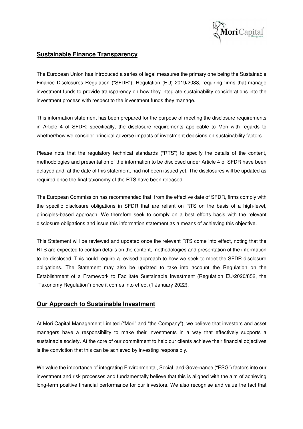

#### **Sustainable Finance Transparency**

The European Union has introduced a series of legal measures the primary one being the Sustainable Finance Disclosures Regulation ("SFDR"), Regulation (EU) 2019/2088, requiring firms that manage investment funds to provide transparency on how they integrate sustainability considerations into the investment process with respect to the investment funds they manage.

This information statement has been prepared for the purpose of meeting the disclosure requirements in Article 4 of SFDR; specifically, the disclosure requirements applicable to Mori with regards to whether/how we consider principal adverse impacts of investment decisions on sustainability factors.

Please note that the regulatory technical standards ("RTS") to specify the details of the content, methodologies and presentation of the information to be disclosed under Article 4 of SFDR have been delayed and, at the date of this statement, had not been issued yet. The disclosures will be updated as required once the final taxonomy of the RTS have been released.

The European Commission has recommended that, from the effective date of SFDR, firms comply with the specific disclosure obligations in SFDR that are reliant on RTS on the basis of a high-level, principles-based approach. We therefore seek to comply on a best efforts basis with the relevant disclosure obligations and issue this information statement as a means of achieving this objective.

This Statement will be reviewed and updated once the relevant RTS come into effect, noting that the RTS are expected to contain details on the content, methodologies and presentation of the information to be disclosed. This could require a revised approach to how we seek to meet the SFDR disclosure obligations. The Statement may also be updated to take into account the Regulation on the Establishment of a Framework to Facilitate Sustainable Investment (Regulation EU/2020/852, the "Taxonomy Regulation") once it comes into effect (1 January 2022).

## **Our Approach to Sustainable Investment**

At Mori Capital Management Limited ("Mori" and "the Company"), we believe that investors and asset managers have a responsibility to make their investments in a way that effectively supports a sustainable society. At the core of our commitment to help our clients achieve their financial objectives is the conviction that this can be achieved by investing responsibly.

We value the importance of integrating Environmental, Social, and Governance ("ESG") factors into our investment and risk processes and fundamentally believe that this is aligned with the aim of achieving long-term positive financial performance for our investors. We also recognise and value the fact that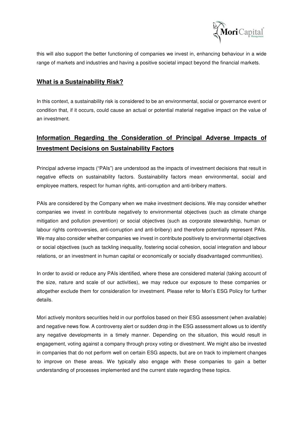

this will also support the better functioning of companies we invest in, enhancing behaviour in a wide range of markets and industries and having a positive societal impact beyond the financial markets.

# **What is a Sustainability Risk?**

In this context, a sustainability risk is considered to be an environmental, social or governance event or condition that, if it occurs, could cause an actual or potential material negative impact on the value of an investment.

# **Information Regarding the Consideration of Principal Adverse Impacts of Investment Decisions on Sustainability Factors**

Principal adverse impacts ("PAIs") are understood as the impacts of investment decisions that result in negative effects on sustainability factors. Sustainability factors mean environmental, social and employee matters, respect for human rights, anti-corruption and anti-bribery matters.

PAIs are considered by the Company when we make investment decisions. We may consider whether companies we invest in contribute negatively to environmental objectives (such as climate change mitigation and pollution prevention) or social objectives (such as corporate stewardship, human or labour rights controversies, anti-corruption and anti-bribery) and therefore potentially represent PAIs. We may also consider whether companies we invest in contribute positively to environmental objectives or social objectives (such as tackling inequality, fostering social cohesion, social integration and labour relations, or an investment in human capital or economically or socially disadvantaged communities).

In order to avoid or reduce any PAIs identified, where these are considered material (taking account of the size, nature and scale of our activities), we may reduce our exposure to these companies or altogether exclude them for consideration for investment. Please refer to Mori's ESG Policy for further details.

Mori actively monitors securities held in our portfolios based on their ESG assessment (when available) and negative news flow. A controversy alert or sudden drop in the ESG assessment allows us to identify any negative developments in a timely manner. Depending on the situation, this would result in engagement, voting against a company through proxy voting or divestment. We might also be invested in companies that do not perform well on certain ESG aspects, but are on track to implement changes to improve on these areas. We typically also engage with these companies to gain a better understanding of processes implemented and the current state regarding these topics.